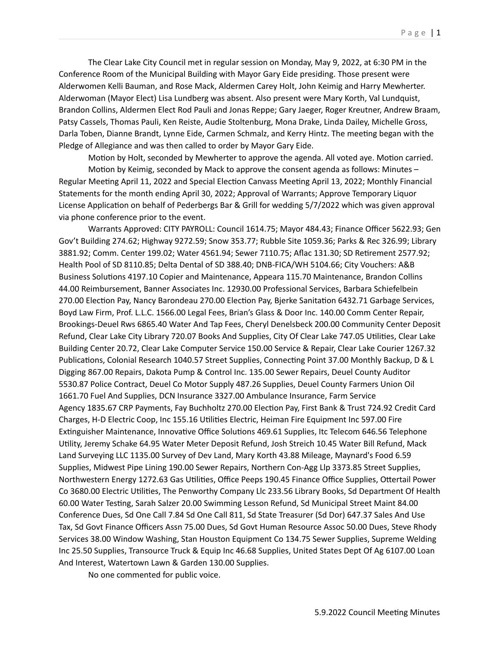The Clear Lake City Council met in regular session on Monday, May 9, 2022, at 6:30 PM in the Conference Room of the Municipal Building with Mayor Gary Eide presiding. Those present were Alderwomen Kelli Bauman, and Rose Mack, Aldermen Carey Holt, John Keimig and Harry Mewherter. Alderwoman (Mayor Elect) Lisa Lundberg was absent. Also present were Mary Korth, Val Lundquist, Brandon Collins, Aldermen Elect Rod Pauli and Jonas Reppe; Gary Jaeger, Roger Kreutner, Andrew Braam, Patsy Cassels, Thomas Pauli, Ken Reiste, Audie Stoltenburg, Mona Drake, Linda Dailey, Michelle Gross, Darla Toben, Dianne Brandt, Lynne Eide, Carmen Schmalz, and Kerry Hintz. The meeting began with the Pledge of Allegiance and was then called to order by Mayor Gary Eide.

Motion by Holt, seconded by Mewherter to approve the agenda. All voted aye. Motion carried. Motion by Keimig, seconded by Mack to approve the consent agenda as follows: Minutes – Regular Meeting April 11, 2022 and Special Election Canvass Meeting April 13, 2022; Monthly Financial Statements for the month ending April 30, 2022; Approval of Warrants; Approve Temporary Liquor License Application on behalf of Pederbergs Bar & Grill for wedding 5/7/2022 which was given approval via phone conference prior to the event.

Warrants Approved: CITY PAYROLL: Council 1614.75; Mayor 484.43; Finance Officer 5622.93; Gen Gov't Building 274.62; Highway 9272.59; Snow 353.77; Rubble Site 1059.36; Parks & Rec 326.99; Library 3881.92; Comm. Center 199.02; Water 4561.94; Sewer 7110.75; Aflac 131.30; SD Retirement 2577.92; Health Pool of SD 8110.85; Delta Dental of SD 388.40; DNB-FICA/WH 5104.66; City Vouchers: A&B Business Solutions 4197.10 Copier and Maintenance, Appeara 115.70 Maintenance, Brandon Collins 44.00 Reimbursement, Banner Associates Inc. 12930.00 Professional Services, Barbara Schiefelbein 270.00 Election Pay, Nancy Barondeau 270.00 Election Pay, Bjerke Sanitation 6432.71 Garbage Services, Boyd Law Firm, Prof. L.L.C. 1566.00 Legal Fees, Brian's Glass & Door Inc. 140.00 Comm Center Repair, Brookings-Deuel Rws 6865.40 Water And Tap Fees, Cheryl Denelsbeck 200.00 Community Center Deposit Refund, Clear Lake City Library 720.07 Books And Supplies, City Of Clear Lake 747.05 Utilities, Clear Lake Building Center 20.72, Clear Lake Computer Service 150.00 Service & Repair, Clear Lake Courier 1267.32 Publications, Colonial Research 1040.57 Street Supplies, Connecting Point 37.00 Monthly Backup, D & L Digging 867.00 Repairs, Dakota Pump & Control Inc. 135.00 Sewer Repairs, Deuel County Auditor 5530.87 Police Contract, Deuel Co Motor Supply 487.26 Supplies, Deuel County Farmers Union Oil 1661.70 Fuel And Supplies, DCN Insurance 3327.00 Ambulance Insurance, Farm Service Agency 1835.67 CRP Payments, Fay Buchholtz 270.00 Election Pay, First Bank & Trust 724.92 Credit Card Charges, H-D Electric Coop, Inc 155.16 Utilities Electric, Heiman Fire Equipment Inc 597.00 Fire Extinguisher Maintenance, Innovative Office Solutions 469.61 Supplies, Itc Telecom 646.56 Telephone Utility, Jeremy Schake 64.95 Water Meter Deposit Refund, Josh Streich 10.45 Water Bill Refund, Mack Land Surveying LLC 1135.00 Survey of Dev Land, Mary Korth 43.88 Mileage, Maynard's Food 6.59 Supplies, Midwest Pipe Lining 190.00 Sewer Repairs, Northern Con-Agg Llp 3373.85 Street Supplies, Northwestern Energy 1272.63 Gas Utilities, Office Peeps 190.45 Finance Office Supplies, Ottertail Power Co 3680.00 Electric Utilities, The Penworthy Company Llc 233.56 Library Books, Sd Department Of Health 60.00 Water Testing, Sarah Salzer 20.00 Swimming Lesson Refund, Sd Municipal Street Maint 84.00 Conference Dues, Sd One Call 7.84 Sd One Call 811, Sd State Treasurer (Sd Dor) 647.37 Sales And Use Tax, Sd Govt Finance Officers Assn 75.00 Dues, Sd Govt Human Resource Assoc 50.00 Dues, Steve Rhody Services 38.00 Window Washing, Stan Houston Equipment Co 134.75 Sewer Supplies, Supreme Welding Inc 25.50 Supplies, Transource Truck & Equip Inc 46.68 Supplies, United States Dept Of Ag 6107.00 Loan And Interest, Watertown Lawn & Garden 130.00 Supplies.

No one commented for public voice.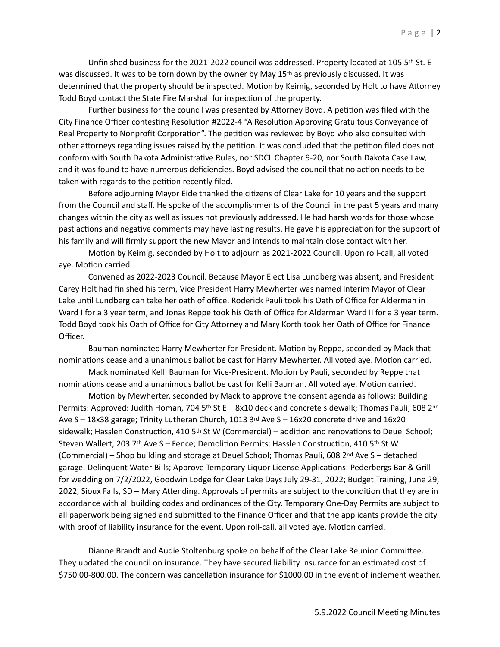Unfinished business for the 2021-2022 council was addressed. Property located at 105 5th St. E was discussed. It was to be torn down by the owner by May 15th as previously discussed. It was determined that the property should be inspected. Motion by Keimig, seconded by Holt to have Attorney Todd Boyd contact the State Fire Marshall for inspection of the property.

Further business for the council was presented by Attorney Boyd. A petition was filed with the City Finance Officer contesting Resolution #2022-4 "A Resolution Approving Gratuitous Conveyance of Real Property to Nonprofit Corporation". The petition was reviewed by Boyd who also consulted with other attorneys regarding issues raised by the petition. It was concluded that the petition filed does not conform with South Dakota Administrative Rules, nor SDCL Chapter 9-20, nor South Dakota Case Law, and it was found to have numerous deficiencies. Boyd advised the council that no action needs to be taken with regards to the petition recently filed.

Before adjourning Mayor Eide thanked the citizens of Clear Lake for 10 years and the support from the Council and staff. He spoke of the accomplishments of the Council in the past 5 years and many changes within the city as well as issues not previously addressed. He had harsh words for those whose past actions and negative comments may have lasting results. He gave his appreciation for the support of his family and will firmly support the new Mayor and intends to maintain close contact with her.

Motion by Keimig, seconded by Holt to adjourn as 2021-2022 Council. Upon roll-call, all voted aye. Motion carried.

Convened as 2022-2023 Council. Because Mayor Elect Lisa Lundberg was absent, and President Carey Holt had finished his term, Vice President Harry Mewherter was named Interim Mayor of Clear Lake until Lundberg can take her oath of office. Roderick Pauli took his Oath of Office for Alderman in Ward I for a 3 year term, and Jonas Reppe took his Oath of Office for Alderman Ward II for a 3 year term. Todd Boyd took his Oath of Office for City Attorney and Mary Korth took her Oath of Office for Finance Officer.

Bauman nominated Harry Mewherter for President. Motion by Reppe, seconded by Mack that nominations cease and a unanimous ballot be cast for Harry Mewherter. All voted aye. Motion carried.

Mack nominated Kelli Bauman for Vice-President. Motion by Pauli, seconded by Reppe that nominations cease and a unanimous ballot be cast for Kelli Bauman. All voted aye. Motion carried.

Motion by Mewherter, seconded by Mack to approve the consent agenda as follows: Building Permits: Approved: Judith Homan, 704 5<sup>th</sup> St E - 8x10 deck and concrete sidewalk; Thomas Pauli, 608 2<sup>nd</sup> Ave  $S - 18x38$  garage; Trinity Lutheran Church, 1013  $3<sup>rd</sup>$  Ave  $S - 16x20$  concrete drive and 16x20 sidewalk; Hasslen Construction, 410 5<sup>th</sup> St W (Commercial) – addition and renovations to Deuel School; Steven Wallert, 203 7<sup>th</sup> Ave S – Fence; Demolition Permits: Hasslen Construction, 410 5<sup>th</sup> St W (Commercial) – Shop building and storage at Deuel School; Thomas Pauli, 608 2nd Ave S – detached garage. Delinquent Water Bills; Approve Temporary Liquor License Applications: Pederbergs Bar & Grill for wedding on 7/2/2022, Goodwin Lodge for Clear Lake Days July 29-31, 2022; Budget Training, June 29, 2022, Sioux Falls, SD – Mary Attending. Approvals of permits are subject to the condition that they are in accordance with all building codes and ordinances of the City. Temporary One-Day Permits are subject to all paperwork being signed and submitted to the Finance Officer and that the applicants provide the city with proof of liability insurance for the event. Upon roll-call, all voted aye. Motion carried.

Dianne Brandt and Audie Stoltenburg spoke on behalf of the Clear Lake Reunion Committee. They updated the council on insurance. They have secured liability insurance for an estimated cost of \$750.00-800.00. The concern was cancellation insurance for \$1000.00 in the event of inclement weather.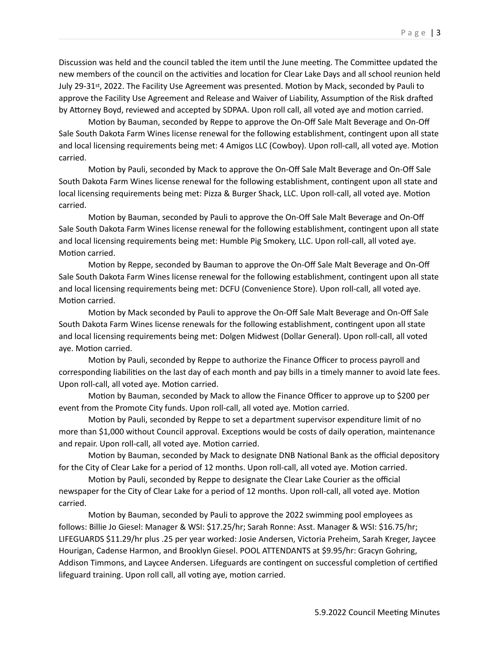Discussion was held and the council tabled the item until the June meeting. The Committee updated the new members of the council on the activities and location for Clear Lake Days and all school reunion held July 29-31st, 2022. The Facility Use Agreement was presented. Motion by Mack, seconded by Pauli to approve the Facility Use Agreement and Release and Waiver of Liability, Assumption of the Risk drafted by Attorney Boyd, reviewed and accepted by SDPAA. Upon roll call, all voted aye and motion carried.

Motion by Bauman, seconded by Reppe to approve the On-Off Sale Malt Beverage and On-Off Sale South Dakota Farm Wines license renewal for the following establishment, contingent upon all state and local licensing requirements being met: 4 Amigos LLC (Cowboy). Upon roll-call, all voted aye. Motion carried.

Motion by Pauli, seconded by Mack to approve the On-Off Sale Malt Beverage and On-Off Sale South Dakota Farm Wines license renewal for the following establishment, contingent upon all state and local licensing requirements being met: Pizza & Burger Shack, LLC. Upon roll-call, all voted aye. Motion carried.

Motion by Bauman, seconded by Pauli to approve the On-Off Sale Malt Beverage and On-Off Sale South Dakota Farm Wines license renewal for the following establishment, contingent upon all state and local licensing requirements being met: Humble Pig Smokery, LLC. Upon roll-call, all voted aye. Motion carried.

Motion by Reppe, seconded by Bauman to approve the On-Off Sale Malt Beverage and On-Off Sale South Dakota Farm Wines license renewal for the following establishment, contingent upon all state and local licensing requirements being met: DCFU (Convenience Store). Upon roll-call, all voted aye. Motion carried.

Motion by Mack seconded by Pauli to approve the On-Off Sale Malt Beverage and On-Off Sale South Dakota Farm Wines license renewals for the following establishment, contingent upon all state and local licensing requirements being met: Dolgen Midwest (Dollar General). Upon roll-call, all voted aye. Motion carried.

Motion by Pauli, seconded by Reppe to authorize the Finance Officer to process payroll and corresponding liabilities on the last day of each month and pay bills in a timely manner to avoid late fees. Upon roll-call, all voted aye. Motion carried.

Motion by Bauman, seconded by Mack to allow the Finance Officer to approve up to \$200 per event from the Promote City funds. Upon roll-call, all voted aye. Motion carried.

Motion by Pauli, seconded by Reppe to set a department supervisor expenditure limit of no more than \$1,000 without Council approval. Exceptions would be costs of daily operation, maintenance and repair. Upon roll-call, all voted aye. Motion carried.

Motion by Bauman, seconded by Mack to designate DNB National Bank as the official depository for the City of Clear Lake for a period of 12 months. Upon roll-call, all voted aye. Motion carried.

Motion by Pauli, seconded by Reppe to designate the Clear Lake Courier as the official newspaper for the City of Clear Lake for a period of 12 months. Upon roll-call, all voted aye. Motion carried.

Motion by Bauman, seconded by Pauli to approve the 2022 swimming pool employees as follows: Billie Jo Giesel: Manager & WSI: \$17.25/hr; Sarah Ronne: Asst. Manager & WSI: \$16.75/hr; LIFEGUARDS \$11.29/hr plus .25 per year worked: Josie Andersen, Victoria Preheim, Sarah Kreger, Jaycee Hourigan, Cadense Harmon, and Brooklyn Giesel. POOL ATTENDANTS at \$9.95/hr: Gracyn Gohring, Addison Timmons, and Laycee Andersen. Lifeguards are contingent on successful completion of certified lifeguard training. Upon roll call, all voting aye, motion carried.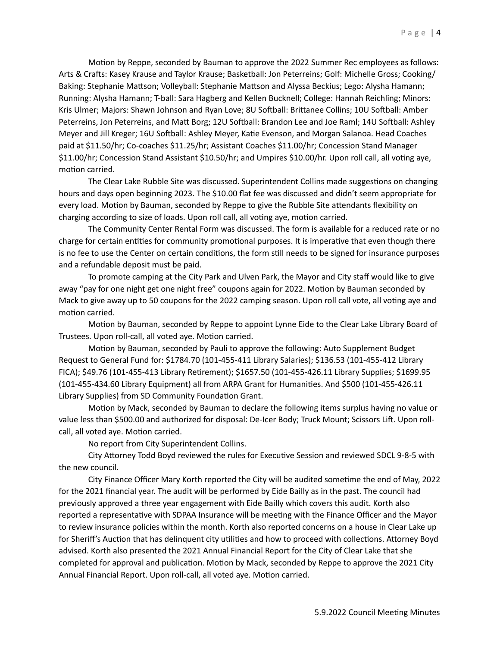Motion by Reppe, seconded by Bauman to approve the 2022 Summer Rec employees as follows: Arts & Crafts: Kasey Krause and Taylor Krause; Basketball: Jon Peterreins; Golf: Michelle Gross; Cooking/ Baking: Stephanie Mattson; Volleyball: Stephanie Mattson and Alyssa Beckius; Lego: Alysha Hamann; Running: Alysha Hamann; T-ball: Sara Hagberg and Kellen Bucknell; College: Hannah Reichling; Minors: Kris Ulmer; Majors: Shawn Johnson and Ryan Love; 8U Softball: Brittanee Collins; 10U Softball: Amber Peterreins, Jon Peterreins, and Matt Borg; 12U Softball: Brandon Lee and Joe Raml; 14U Softball: Ashley Meyer and Jill Kreger; 16U Softball: Ashley Meyer, Katie Evenson, and Morgan Salanoa. Head Coaches paid at \$11.50/hr; Co-coaches \$11.25/hr; Assistant Coaches \$11.00/hr; Concession Stand Manager \$11.00/hr; Concession Stand Assistant \$10.50/hr; and Umpires \$10.00/hr. Upon roll call, all voting aye, motion carried.

The Clear Lake Rubble Site was discussed. Superintendent Collins made suggestions on changing hours and days open beginning 2023. The \$10.00 flat fee was discussed and didn't seem appropriate for every load. Motion by Bauman, seconded by Reppe to give the Rubble Site attendants flexibility on charging according to size of loads. Upon roll call, all voting aye, motion carried.

The Community Center Rental Form was discussed. The form is available for a reduced rate or no charge for certain entities for community promotional purposes. It is imperative that even though there is no fee to use the Center on certain conditions, the form still needs to be signed for insurance purposes and a refundable deposit must be paid.

To promote camping at the City Park and Ulven Park, the Mayor and City staff would like to give away "pay for one night get one night free" coupons again for 2022. Motion by Bauman seconded by Mack to give away up to 50 coupons for the 2022 camping season. Upon roll call vote, all voting aye and motion carried.

Motion by Bauman, seconded by Reppe to appoint Lynne Eide to the Clear Lake Library Board of Trustees. Upon roll-call, all voted aye. Motion carried.

Motion by Bauman, seconded by Pauli to approve the following: Auto Supplement Budget Request to General Fund for: \$1784.70 (101-455-411 Library Salaries); \$136.53 (101-455-412 Library FICA); \$49.76 (101-455-413 Library Retirement); \$1657.50 (101-455-426.11 Library Supplies; \$1699.95 (101-455-434.60 Library Equipment) all from ARPA Grant for Humanities. And \$500 (101-455-426.11 Library Supplies) from SD Community Foundation Grant.

Motion by Mack, seconded by Bauman to declare the following items surplus having no value or value less than \$500.00 and authorized for disposal: De-Icer Body; Truck Mount; Scissors Lift. Upon rollcall, all voted aye. Motion carried.

No report from City Superintendent Collins.

City Attorney Todd Boyd reviewed the rules for Executive Session and reviewed SDCL 9-8-5 with the new council.

City Finance Officer Mary Korth reported the City will be audited sometime the end of May, 2022 for the 2021 financial year. The audit will be performed by Eide Bailly as in the past. The council had previously approved a three year engagement with Eide Bailly which covers this audit. Korth also reported a representative with SDPAA Insurance will be meeting with the Finance Officer and the Mayor to review insurance policies within the month. Korth also reported concerns on a house in Clear Lake up for Sheriff's Auction that has delinquent city utilities and how to proceed with collections. Attorney Boyd advised. Korth also presented the 2021 Annual Financial Report for the City of Clear Lake that she completed for approval and publication. Motion by Mack, seconded by Reppe to approve the 2021 City Annual Financial Report. Upon roll-call, all voted aye. Motion carried.